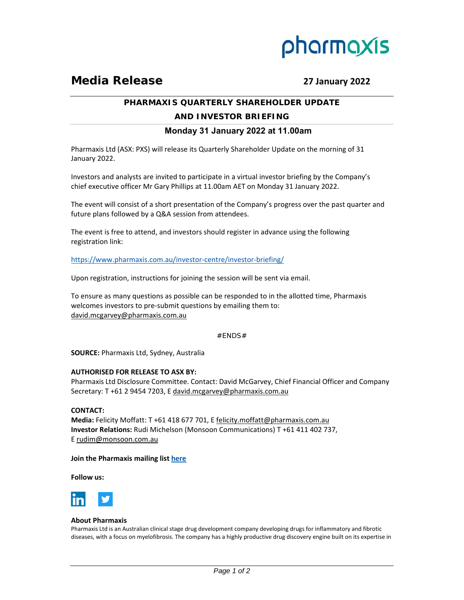

# **Media Release 27 January 2022**

# **PHARMAXIS QUARTERLY SHAREHOLDER UPDATE**

# **AND INVESTOR BRIEFING**

# **Monday 31 January 2022 at 11.00am**

Pharmaxis Ltd (ASX: PXS) will release its Quarterly Shareholder Update on the morning of 31 January 2022.

Investors and analysts are invited to participate in a virtual investor briefing by the Company's chief executive officer Mr Gary Phillips at 11.00am AET on Monday 31 January 2022.

The event will consist of a short presentation of the Company's progress over the past quarter and future plans followed by a Q&A session from attendees.

The event is free to attend, and investors should register in advance using the following registration link:

[https://www.pharmaxis.com.au/investor‐centre/investor‐briefing/](https://www.pharmaxis.com.au/investor-centre/investor-briefing/)

Upon registration, instructions for joining the session will be sent via email.

To ensure as many questions as possible can be responded to in the allotted time, Pharmaxis welcomes investors to pre-submit questions by emailing them to: david.mcgarvey@pharmaxis.com.au

#### $#$ ENDS $#$

**SOURCE:** Pharmaxis Ltd, Sydney, Australia

#### **AUTHORISED FOR RELEASE TO ASX BY:**

Pharmaxis Ltd Disclosure Committee. Contact: David McGarvey, Chief Financial Officer and Company Secretary: T +61 2 9454 7203, E david.mcgarvey@pharmaxis.com.au

# **CONTACT:**

**Media:** Felicity Moffatt: T +61 418 677 701, E felicity.moffatt@pharmaxis.com.au **Investor Relations:** Rudi Michelson (Monsoon Communications) T +61 411 402 737, E rudim@monsoon.com.au

### **Join the Pharmaxis mailing list [here](http://www.pharmaxis.com.au/investor-centre/subscribe/)**

**Follow us:** 



# **About Pharmaxis**

Pharmaxis Ltd is an Australian clinical stage drug development company developing drugs for inflammatory and fibrotic diseases, with a focus on myelofibrosis. The company has a highly productive drug discovery engine built on its expertise in